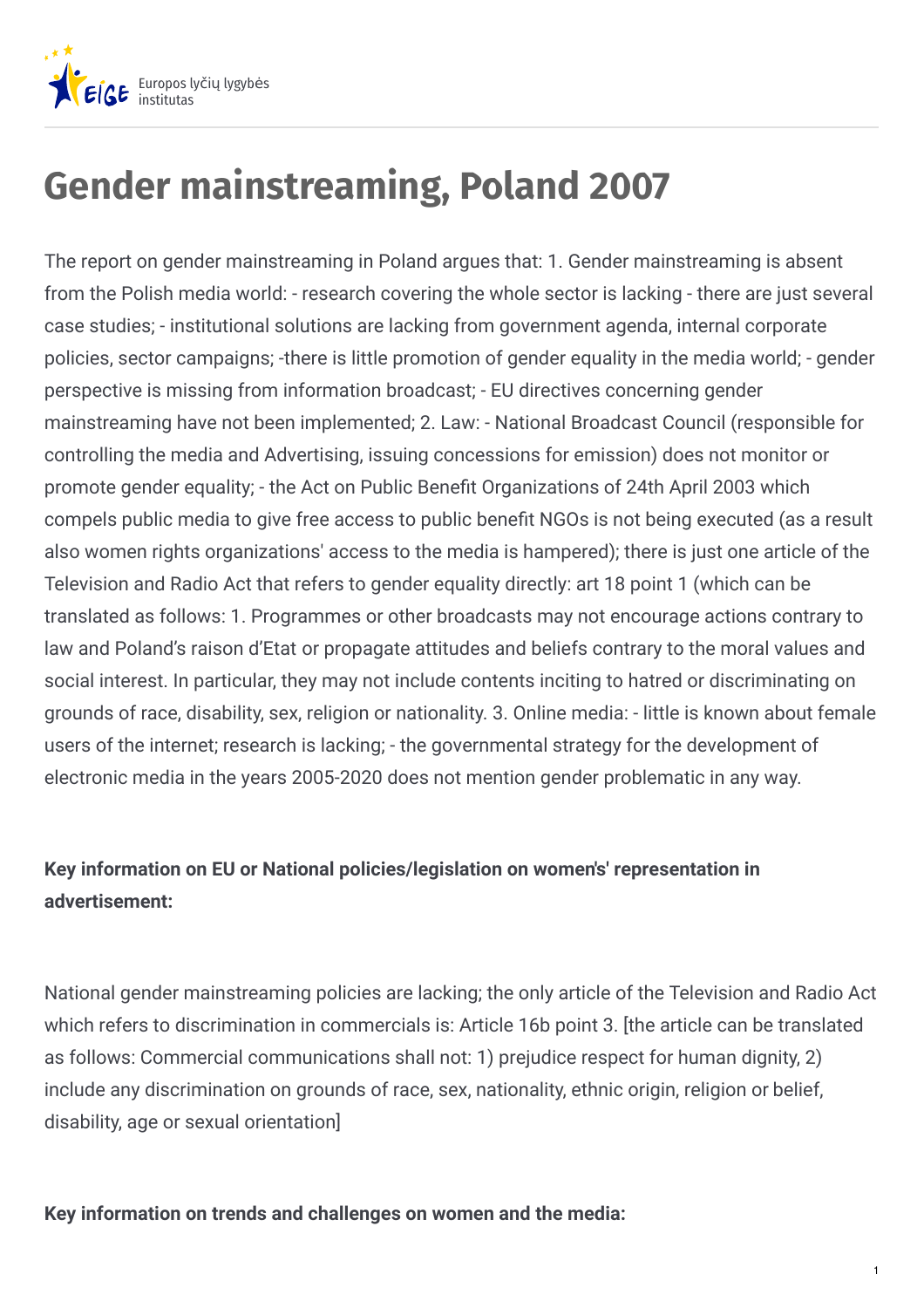

# **Gender mainstreaming, Poland 2007**

The report on gender mainstreaming in Poland argues that: 1. Gender mainstreaming is absent from the Polish media world: - research covering the whole sector is lacking - there are just several case studies; - institutional solutions are lacking from government agenda, internal corporate policies, sector campaigns; -there is little promotion of gender equality in the media world; - gender perspective is missing from information broadcast; - EU directives concerning gender mainstreaming have not been implemented; 2. Law: - National Broadcast Council (responsible for controlling the media and Advertising, issuing concessions for emission) does not monitor or promote gender equality; - the Act on Public Benefit Organizations of 24th April 2003 which compels public media to give free access to public benefit NGOs is not being executed (as a result also women rights organizations' access to the media is hampered); there is just one article of the Television and Radio Act that refers to gender equality directly: art 18 point 1 (which can be translated as follows: 1. Programmes or other broadcasts may not encourage actions contrary to law and Poland's raison d'Etat or propagate attitudes and beliefs contrary to the moral values and social interest. In particular, they may not include contents inciting to hatred or discriminating on grounds of race, disability, sex, religion or nationality. 3. Online media: - little is known about female users of the internet; research is lacking; - the governmental strategy for the development of electronic media in the years 2005-2020 does not mention gender problematic in any way.

### **Key information on EU or National policies/legislation on women's' representation in advertisement:**

National gender mainstreaming policies are lacking; the only article of the Television and Radio Act which refers to discrimination in commercials is: Article 16b point 3. [the article can be translated as follows: Commercial communications shall not: 1) prejudice respect for human dignity, 2) include any discrimination on grounds of race, sex, nationality, ethnic origin, religion or belief, disability, age or sexual orientation]

#### **Key information on trends and challenges on women and the media:**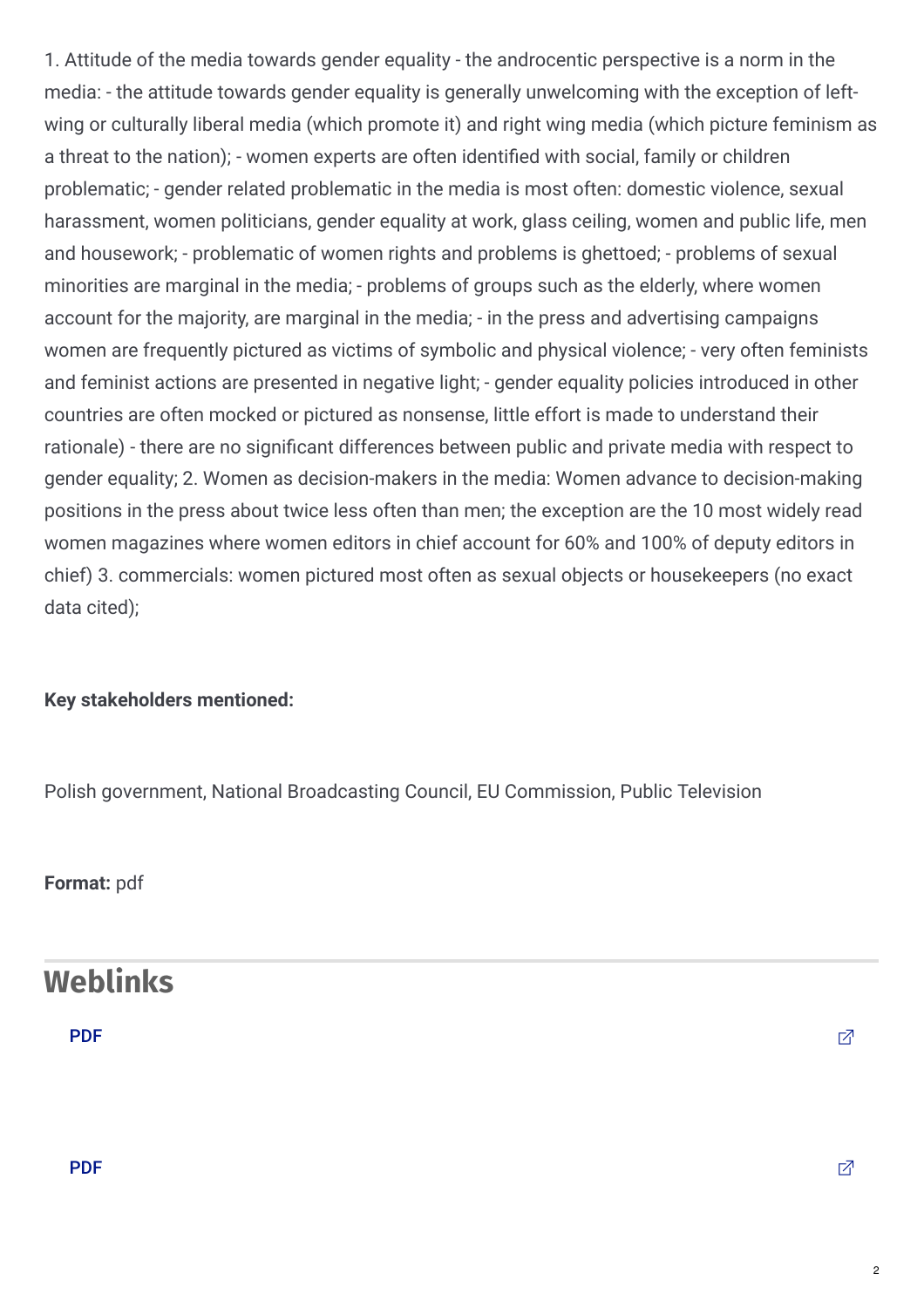1. Attitude of the media towards gender equality - the androcentic perspective is a norm in the media: - the attitude towards gender equality is generally unwelcoming with the exception of leftwing or culturally liberal media (which promote it) and right wing media (which picture feminism as a threat to the nation); - women experts are often identified with social, family or children problematic; - gender related problematic in the media is most often: domestic violence, sexual harassment, women politicians, gender equality at work, glass ceiling, women and public life, men and housework; - problematic of women rights and problems is ghettoed; - problems of sexual minorities are marginal in the media; - problems of groups such as the elderly, where women account for the majority, are marginal in the media; - in the press and advertising campaigns women are frequently pictured as victims of symbolic and physical violence; - very often feminists and feminist actions are presented in negative light; - gender equality policies introduced in other countries are often mocked or pictured as nonsense, little effort is made to understand their rationale) - there are no significant differences between public and private media with respect to gender equality; 2. Women as decision-makers in the media: Women advance to decision-making positions in the press about twice less often than men; the exception are the 10 most widely read women magazines where women editors in chief account for 60% and 100% of deputy editors in chief) 3. commercials: women pictured most often as sexual objects or housekeepers (no exact data cited);

#### **Key stakeholders mentioned:**

Polish government, National Broadcasting Council, EU Commission, Public Television

**Format:** pdf

### **Weblinks**

[PDF](http://www.kapitalludzki.gov.pl/download/gfx/kapitalludzki/pl/defaultmultilistaplikow/186/2/1/raport_polityka_rownosci_plci_raport.pdf) the contract of the contract of the contract of the contract of the contract of  $\mathbb Z$ 

#### [PDF](http://www.kapitalludzki.gov.pl/download/gfx/kapitalludzki/pl/defaultmultilistaplikow/186/2/1/raport_polityka_rownosci_plci_raport.pdf) the contract of the contract of the contract of the contract of the contract of  $\mathbb Z$

2